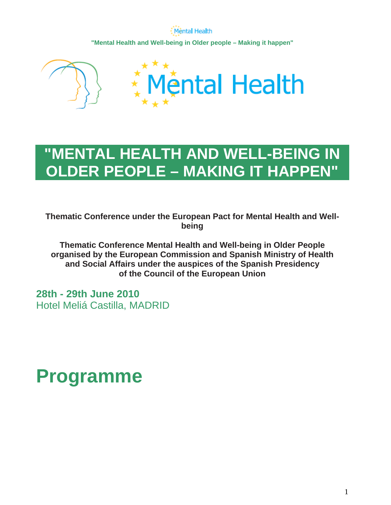Mental Health **"Mental Health and Well-being in Older people – Making it happen"** 



# **"MENTAL HEALTH AND WELL-BEING IN OLDER PEOPLE – MAKING IT HAPPEN"**

**Thematic Conference under the European Pact for Mental Health and Wellbeing** 

**Thematic Conference Mental Health and Well-being in Older People organised by the European Commission and Spanish Ministry of Health and Social Affairs under the auspices of the Spanish Presidency of the Council of the European Union**

**28th - 29th June 2010**  Hotel Meliá Castilla, MADRID

# **Programme**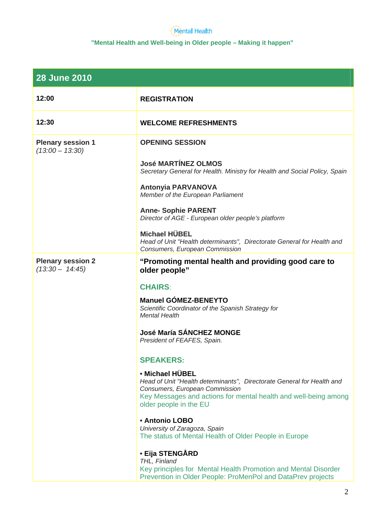| <b>28 June 2010</b>                           |                                                                                                                                                                                                                          |
|-----------------------------------------------|--------------------------------------------------------------------------------------------------------------------------------------------------------------------------------------------------------------------------|
| 12:00                                         | <b>REGISTRATION</b>                                                                                                                                                                                                      |
| 12:30                                         | <b>WELCOME REFRESHMENTS</b>                                                                                                                                                                                              |
| <b>Plenary session 1</b><br>$(13:00 - 13:30)$ | <b>OPENING SESSION</b>                                                                                                                                                                                                   |
|                                               | <b>José MARTÍNEZ OLMOS</b><br>Secretary General for Health. Ministry for Health and Social Policy, Spain                                                                                                                 |
|                                               | <b>Antonyia PARVANOVA</b><br>Member of the European Parliament                                                                                                                                                           |
|                                               | <b>Anne- Sophie PARENT</b><br>Director of AGE - European older people's platform                                                                                                                                         |
|                                               | <b>Michael HÜBEL</b><br>Head of Unit "Health determinants", Directorate General for Health and<br>Consumers, European Commission                                                                                         |
| <b>Plenary session 2</b><br>$(13:30 - 14:45)$ | "Promoting mental health and providing good care to<br>older people"                                                                                                                                                     |
|                                               | <b>CHAIRS:</b>                                                                                                                                                                                                           |
|                                               | <b>Manuel GÓMEZ-BENEYTO</b><br>Scientific Coordinator of the Spanish Strategy for<br><b>Mental Health</b>                                                                                                                |
|                                               | <b>José María SÁNCHEZ MONGE</b><br>President of FEAFES, Spain.                                                                                                                                                           |
|                                               | <b>SPEAKERS:</b>                                                                                                                                                                                                         |
|                                               | • Michael HÜBEL<br>Head of Unit "Health determinants", Directorate General for Health and<br>Consumers, European Commission<br>Key Messages and actions for mental health and well-being among<br>older people in the EU |
|                                               | <b>• Antonio LOBO</b><br>University of Zaragoza, Spain<br>The status of Mental Health of Older People in Europe                                                                                                          |
|                                               | • Eija STENGÅRD<br>THL, Finland<br>Key principles for Mental Health Promotion and Mental Disorder<br>Prevention in Older People: ProMenPol and DataPrev projects                                                         |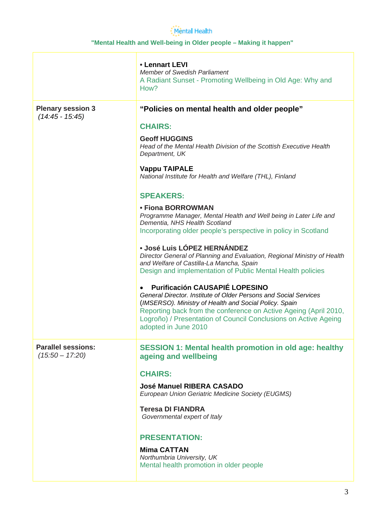|                                                | • Lennart LEVI<br><b>Member of Swedish Parliament</b><br>A Radiant Sunset - Promoting Wellbeing in Old Age: Why and<br>How?                                                                                                                                                                                                        |
|------------------------------------------------|------------------------------------------------------------------------------------------------------------------------------------------------------------------------------------------------------------------------------------------------------------------------------------------------------------------------------------|
| <b>Plenary session 3</b><br>$(14.45 - 15.45)$  | "Policies on mental health and older people"                                                                                                                                                                                                                                                                                       |
|                                                | <b>CHAIRS:</b>                                                                                                                                                                                                                                                                                                                     |
|                                                | <b>Geoff HUGGINS</b><br>Head of the Mental Health Division of the Scottish Executive Health<br>Department, UK                                                                                                                                                                                                                      |
|                                                | <b>Vappu TAIPALE</b><br>National Institute for Health and Welfare (THL), Finland                                                                                                                                                                                                                                                   |
|                                                | <b>SPEAKERS:</b>                                                                                                                                                                                                                                                                                                                   |
|                                                | • Fiona BORROWMAN<br>Programme Manager, Mental Health and Well being in Later Life and<br>Dementia, NHS Health Scotland<br>Incorporating older people's perspective in policy in Scotland                                                                                                                                          |
|                                                | · José Luis LÓPEZ HERNÁNDEZ<br>Director General of Planning and Evaluation, Regional Ministry of Health<br>and Welfare of Castilla-La Mancha, Spain<br>Design and implementation of Public Mental Health policies                                                                                                                  |
|                                                | <b>Purificación CAUSAPIÉ LOPESINO</b><br>General Director. Institute of Older Persons and Social Services<br>(IMSERSO). Ministry of Health and Social Policy. Spain<br>Reporting back from the conference on Active Ageing (April 2010,<br>Logroño) / Presentation of Council Conclusions on Active Ageing<br>adopted in June 2010 |
| <b>Parallel sessions:</b><br>$(15:50 - 17:20)$ | <b>SESSION 1: Mental health promotion in old age: healthy</b><br>ageing and wellbeing                                                                                                                                                                                                                                              |
|                                                | <b>CHAIRS:</b>                                                                                                                                                                                                                                                                                                                     |
|                                                | <b>José Manuel RIBERA CASADO</b><br>European Union Geriatric Medicine Society (EUGMS)                                                                                                                                                                                                                                              |
|                                                | <b>Teresa DI FIANDRA</b><br>Governmental expert of Italy                                                                                                                                                                                                                                                                           |
|                                                | <b>PRESENTATION:</b>                                                                                                                                                                                                                                                                                                               |
|                                                | <b>Mima CATTAN</b>                                                                                                                                                                                                                                                                                                                 |
|                                                | Northumbria University, UK<br>Mental health promotion in older people                                                                                                                                                                                                                                                              |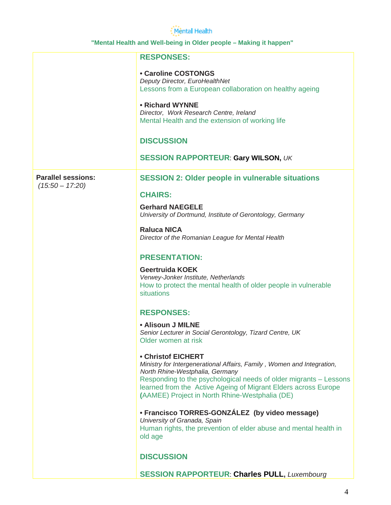|                                                | <b>RESPONSES:</b>                                                                                                                                                                                                                                                                                                        |
|------------------------------------------------|--------------------------------------------------------------------------------------------------------------------------------------------------------------------------------------------------------------------------------------------------------------------------------------------------------------------------|
|                                                | • Caroline COSTONGS<br>Deputy Director, EuroHealthNet<br>Lessons from a European collaboration on healthy ageing                                                                                                                                                                                                         |
|                                                | • Richard WYNNE<br>Director, Work Research Centre, Ireland<br>Mental Health and the extension of working life                                                                                                                                                                                                            |
|                                                | <b>DISCUSSION</b>                                                                                                                                                                                                                                                                                                        |
|                                                | <b>SESSION RAPPORTEUR: Gary WILSON, UK</b>                                                                                                                                                                                                                                                                               |
| <b>Parallel sessions:</b><br>$(15:50 - 17:20)$ | <b>SESSION 2: Older people in vulnerable situations</b>                                                                                                                                                                                                                                                                  |
|                                                | <b>CHAIRS:</b>                                                                                                                                                                                                                                                                                                           |
|                                                | <b>Gerhard NAEGELE</b><br>University of Dortmund, Institute of Gerontology, Germany                                                                                                                                                                                                                                      |
|                                                | <b>Raluca NICA</b><br>Director of the Romanian League for Mental Health                                                                                                                                                                                                                                                  |
|                                                | <b>PRESENTATION:</b>                                                                                                                                                                                                                                                                                                     |
|                                                | <b>Geertruida KOEK</b><br>Verwey-Jonker Institute, Netherlands<br>How to protect the mental health of older people in vulnerable<br>situations                                                                                                                                                                           |
|                                                | <b>RESPONSES:</b>                                                                                                                                                                                                                                                                                                        |
|                                                | • Alisoun J MILNE<br>Senior Lecturer in Social Gerontology, Tizard Centre, UK<br>Older women at risk                                                                                                                                                                                                                     |
|                                                | • Christof EICHERT<br>Ministry for Intergenerational Affairs, Family, Women and Integration,<br>North Rhine-Westphalia, Germany<br>Responding to the psychological needs of older migrants - Lessons<br>learned from the Active Ageing of Migrant Elders across Europe<br>(AAMEE) Project in North Rhine-Westphalia (DE) |
|                                                | • Francisco TORRES-GONZÁLEZ (by video message)<br>University of Granada, Spain<br>Human rights, the prevention of elder abuse and mental health in<br>old age                                                                                                                                                            |
|                                                | <b>DISCUSSION</b>                                                                                                                                                                                                                                                                                                        |
|                                                | <b>SESSION RAPPORTEUR: Charles PULL, Luxembourg</b>                                                                                                                                                                                                                                                                      |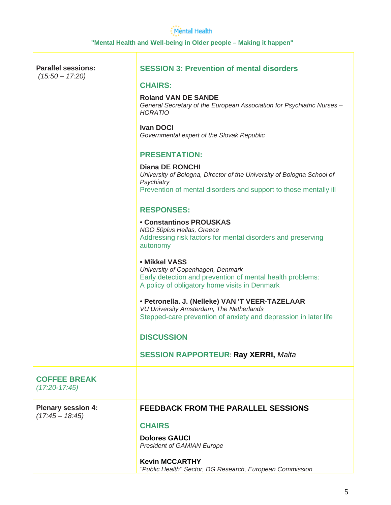| <b>Parallel sessions:</b><br>$(15.50 - 17.20)$ | <b>SESSION 3: Prevention of mental disorders</b>                                                                                                                                   |
|------------------------------------------------|------------------------------------------------------------------------------------------------------------------------------------------------------------------------------------|
|                                                | <b>CHAIRS:</b>                                                                                                                                                                     |
|                                                | <b>Roland VAN DE SANDE</b><br>General Secretary of the European Association for Psychiatric Nurses -<br>HORATIO                                                                    |
|                                                | <b>Ivan DOCI</b><br>Governmental expert of the Slovak Republic                                                                                                                     |
|                                                | <b>PRESENTATION:</b>                                                                                                                                                               |
|                                                | <b>Diana DE RONCHI</b><br>University of Bologna, Director of the University of Bologna School of<br>Psychiatry<br>Prevention of mental disorders and support to those mentally ill |
|                                                | <b>RESPONSES:</b>                                                                                                                                                                  |
|                                                | <b>• Constantinos PROUSKAS</b>                                                                                                                                                     |
|                                                | NGO 50plus Hellas, Greece<br>Addressing risk factors for mental disorders and preserving<br>autonomy                                                                               |
|                                                | • Mikkel VASS<br>University of Copenhagen, Denmark<br>Early detection and prevention of mental health problems:<br>A policy of obligatory home visits in Denmark                   |
|                                                | • Petronella. J. (Nelleke) VAN 'T VEER-TAZELAAR<br>VU University Amsterdam, The Netherlands<br>Stepped-care prevention of anxiety and depression in later life                     |
|                                                | <b>DISCUSSION</b>                                                                                                                                                                  |
|                                                | <b>SESSION RAPPORTEUR: Ray XERRI, Malta</b>                                                                                                                                        |
| <b>COFFEE BREAK</b><br>$(17:20-17:45)$         |                                                                                                                                                                                    |
| <b>Plenary session 4:</b><br>$(17:45 - 18:45)$ | <b>FEEDBACK FROM THE PARALLEL SESSIONS</b>                                                                                                                                         |
|                                                | <b>CHAIRS</b>                                                                                                                                                                      |
|                                                | <b>Dolores GAUCI</b><br>President of GAMIAN Europe                                                                                                                                 |
|                                                | <b>Kevin MCCARTHY</b><br>"Public Health" Sector, DG Research, European Commission                                                                                                  |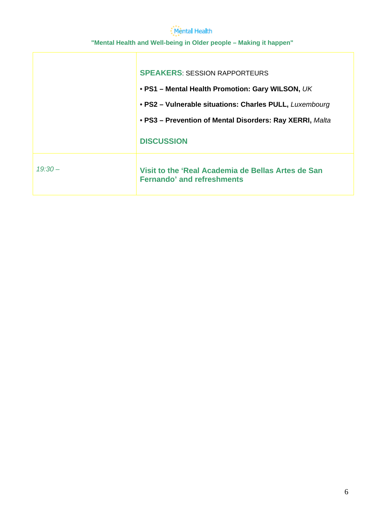|           | <b>SPEAKERS: SESSION RAPPORTEURS</b>                                                    |
|-----------|-----------------------------------------------------------------------------------------|
|           | • PS1 - Mental Health Promotion: Gary WILSON, UK                                        |
|           | • PS2 - Vulnerable situations: Charles PULL, Luxembourg                                 |
|           | • PS3 - Prevention of Mental Disorders: Ray XERRI, Malta                                |
|           | <b>DISCUSSION</b>                                                                       |
| $19:30 -$ | Visit to the 'Real Academia de Bellas Artes de San<br><b>Fernando' and refreshments</b> |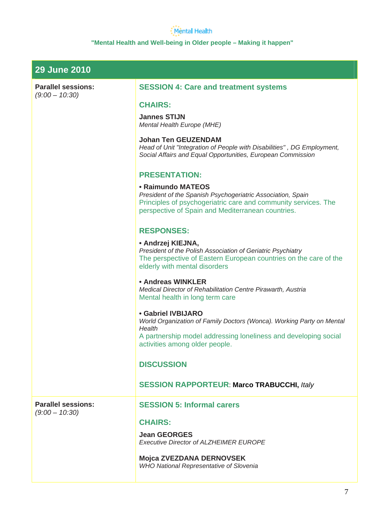| <b>29 June 2010</b>                           |                                                                                                                                                                                                                   |
|-----------------------------------------------|-------------------------------------------------------------------------------------------------------------------------------------------------------------------------------------------------------------------|
| <b>Parallel sessions:</b>                     | <b>SESSION 4: Care and treatment systems</b>                                                                                                                                                                      |
| $(9:00 - 10:30)$                              | <b>CHAIRS:</b>                                                                                                                                                                                                    |
|                                               | <b>Jannes STIJN</b><br>Mental Health Europe (MHE)                                                                                                                                                                 |
|                                               | <b>Johan Ten GEUZENDAM</b><br>Head of Unit "Integration of People with Disabilities", DG Employment,<br>Social Affairs and Equal Opportunities, European Commission                                               |
|                                               | <b>PRESENTATION:</b>                                                                                                                                                                                              |
|                                               | • Raimundo MATEOS<br>President of the Spanish Psychogeriatric Association, Spain<br>Principles of psychogeriatric care and community services. The<br>perspective of Spain and Mediterranean countries.           |
|                                               | <b>RESPONSES:</b>                                                                                                                                                                                                 |
|                                               | • Andrzej KIEJNA,<br>President of the Polish Association of Geriatric Psychiatry<br>The perspective of Eastern European countries on the care of the<br>elderly with mental disorders                             |
|                                               | • Andreas WINKLER<br>Medical Director of Rehabilitation Centre Pirawarth, Austria<br>Mental health in long term care                                                                                              |
|                                               | <b>• Gabriel IVBIJARO</b><br>World Organization of Family Doctors (Wonca). Working Party on Mental<br>Health<br>A partnership model addressing loneliness and developing social<br>activities among older people. |
|                                               | <b>DISCUSSION</b>                                                                                                                                                                                                 |
|                                               | <b>SESSION RAPPORTEUR: Marco TRABUCCHI, Italy</b>                                                                                                                                                                 |
| <b>Parallel sessions:</b><br>$(9:00 - 10:30)$ | <b>SESSION 5: Informal carers</b>                                                                                                                                                                                 |
|                                               | <b>CHAIRS:</b>                                                                                                                                                                                                    |
|                                               | <b>Jean GEORGES</b><br><b>Executive Director of ALZHEIMER EUROPE</b>                                                                                                                                              |
|                                               | Mojca ZVEZDANA DERNOVSEK<br><b>WHO National Representative of Slovenia</b>                                                                                                                                        |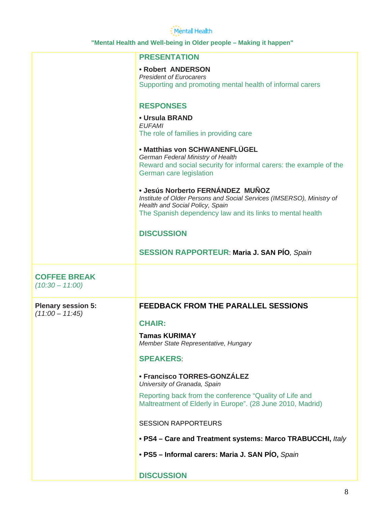|                                          | <b>PRESENTATION</b>                                                                                      |
|------------------------------------------|----------------------------------------------------------------------------------------------------------|
|                                          | • Robert ANDERSON                                                                                        |
|                                          | <b>President of Eurocarers</b><br>Supporting and promoting mental health of informal carers              |
|                                          |                                                                                                          |
|                                          | <b>RESPONSES</b>                                                                                         |
|                                          | • Ursula BRAND                                                                                           |
|                                          | <b>EUFAMI</b><br>The role of families in providing care                                                  |
|                                          | • Matthias von SCHWANENFLÜGEL                                                                            |
|                                          | German Federal Ministry of Health                                                                        |
|                                          | Reward and social security for informal carers: the example of the                                       |
|                                          | German care legislation                                                                                  |
|                                          | · Jesús Norberto FERNÁNDEZ MUÑOZ                                                                         |
|                                          | Institute of Older Persons and Social Services (IMSERSO), Ministry of<br>Health and Social Policy, Spain |
|                                          | The Spanish dependency law and its links to mental health                                                |
|                                          | <b>DISCUSSION</b>                                                                                        |
|                                          |                                                                                                          |
|                                          | <b>SESSION RAPPORTEUR: Maria J. SAN PÍO, Spain</b>                                                       |
|                                          |                                                                                                          |
|                                          |                                                                                                          |
| <b>COFFEE BREAK</b><br>$(10:30 - 11:00)$ |                                                                                                          |
|                                          |                                                                                                          |
| <b>Plenary session 5:</b>                | <b>FEEDBACK FROM THE PARALLEL SESSIONS</b>                                                               |
| $(11:00 - 11:45)$                        |                                                                                                          |
|                                          | <b>CHAIR:</b>                                                                                            |
|                                          | Tamas KURIMAY<br>Member State Representative, Hungary                                                    |
|                                          | <b>SPEAKERS:</b>                                                                                         |
|                                          |                                                                                                          |
|                                          | • Francisco TORRES-GONZÁLEZ<br>University of Granada, Spain                                              |
|                                          | Reporting back from the conference "Quality of Life and                                                  |
|                                          | Maltreatment of Elderly in Europe". (28 June 2010, Madrid)                                               |
|                                          |                                                                                                          |
|                                          | <b>SESSION RAPPORTEURS</b>                                                                               |
|                                          | • PS4 - Care and Treatment systems: Marco TRABUCCHI, Italy                                               |
|                                          | • PS5 - Informal carers: Maria J. SAN PÍO, Spain                                                         |
|                                          | <b>DISCUSSION</b>                                                                                        |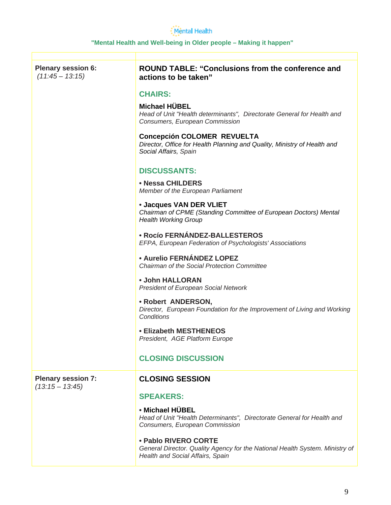| <b>Plenary session 6:</b><br>$(11:45 - 13:15)$ | <b>ROUND TABLE: "Conclusions from the conference and</b><br>actions to be taken"                                                         |
|------------------------------------------------|------------------------------------------------------------------------------------------------------------------------------------------|
|                                                | <b>CHAIRS:</b>                                                                                                                           |
|                                                | Michael HÜBEL<br>Head of Unit "Health determinants", Directorate General for Health and<br>Consumers, European Commission                |
|                                                | <b>Concepción COLOMER REVUELTA</b><br>Director, Office for Health Planning and Quality, Ministry of Health and<br>Social Affairs, Spain  |
|                                                | <b>DISCUSSANTS:</b>                                                                                                                      |
|                                                | • Nessa CHILDERS<br>Member of the European Parliament                                                                                    |
|                                                | • Jacques VAN DER VLIET<br>Chairman of CPME (Standing Committee of European Doctors) Mental<br><b>Health Working Group</b>               |
|                                                | <b>• Rocío FERNÁNDEZ-BALLESTEROS</b><br>EFPA, European Federation of Psychologists' Associations                                         |
|                                                | <b>• Aurelio FERNÁNDEZ LOPEZ</b><br>Chairman of the Social Protection Committee                                                          |
|                                                | • John HALLORAN<br>President of European Social Network                                                                                  |
|                                                | • Robert ANDERSON,<br>Director, European Foundation for the Improvement of Living and Working<br>Conditions                              |
|                                                | <b>• Elizabeth MESTHENEOS</b><br>President, AGE Platform Europe                                                                          |
|                                                | <b>CLOSING DISCUSSION</b>                                                                                                                |
| <b>Plenary session 7:</b><br>$(13:15 - 13:45)$ | <b>CLOSING SESSION</b>                                                                                                                   |
|                                                | <b>SPEAKERS:</b>                                                                                                                         |
|                                                | • Michael HÜBEL<br>Head of Unit "Health Determinants", Directorate General for Health and<br>Consumers, European Commission              |
|                                                | • Pablo RIVERO CORTE<br>General Director. Quality Agency for the National Health System. Ministry of<br>Health and Social Affairs, Spain |